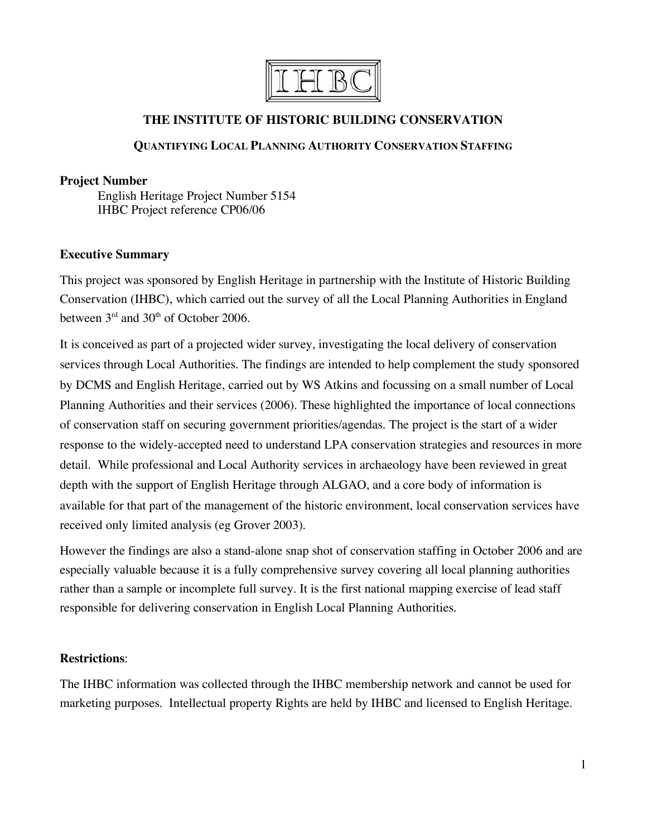

# **THE INSTITUTE OF HISTORIC BUILDING CONSERVATION**

## **QUANTIFYING LOCAL PLANNING AUTHORITY CONSERVATION STAFFING**

### **Project Number**

English Heritage Project Number 5154 IHBC Project reference CP06/06

## **Executive Summary**

This project was sponsored by English Heritage in partnership with the Institute of Historic Building Conservation (IHBC), which carried out the survey of all the Local Planning Authorities in England between 3<sup>rd</sup> and 30<sup>th</sup> of October 2006.

It is conceived as part of a projected wider survey, investigating the local delivery of conservation services through Local Authorities. The findings are intended to help complement the study sponsored by DCMS and English Heritage, carried out by WS Atkins and focussing on a small number of Local Planning Authorities and their services (2006). These highlighted the importance of local connections of conservation staff on securing government priorities/agendas. The project is the start of a wider response to the widely-accepted need to understand LPA conservation strategies and resources in more detail. While professional and Local Authority services in archaeology have been reviewed in great depth with the support of English Heritage through ALGAO, and a core body of information is available for that part of the management of the historic environment, local conservation services have received only limited analysis (eg Grover 2003).

However the findings are also a stand-alone snap shot of conservation staffing in October 2006 and are especially valuable because it is a fully comprehensive survey covering all local planning authorities rather than a sample or incomplete full survey. It is the first national mapping exercise of lead staff responsible for delivering conservation in English Local Planning Authorities.

### **Restrictions**:

The IHBC information was collected through the IHBC membership network and cannot be used for marketing purposes. Intellectual property Rights are held by IHBC and licensed to English Heritage.

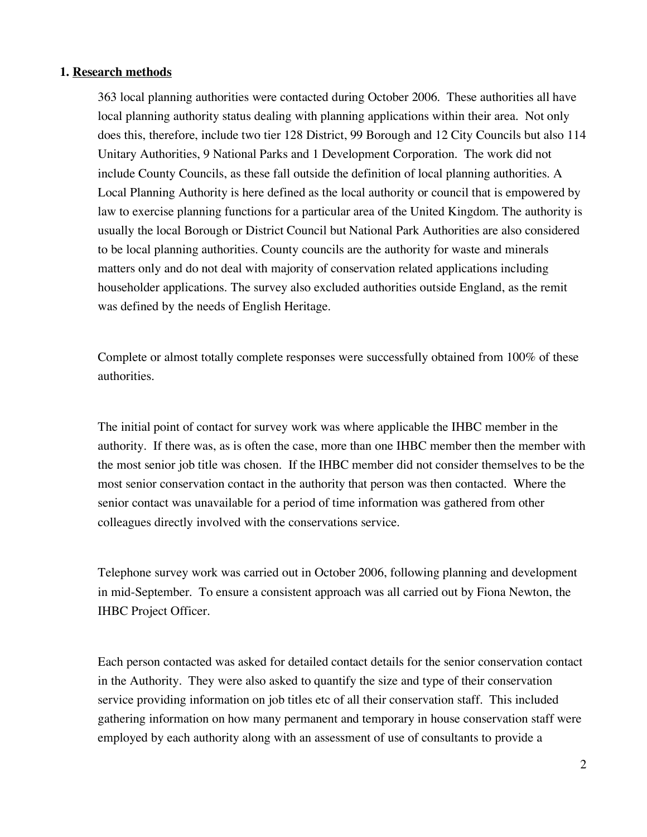### **1. Research methods**

363 local planning authorities were contacted during October 2006. These authorities all have local planning authority status dealing with planning applications within their area. Not only does this, therefore, include two tier 128 District, 99 Borough and 12 City Councils but also 114 Unitary Authorities, 9 National Parks and 1 Development Corporation. The work did not include County Councils, as these fall outside the definition of local planning authorities. A Local Planning Authority is here defined as the local authority or council that is empowered by law to exercise planning functions for a particular area of the United Kingdom. The authority is usually the local Borough or District Council but National Park Authorities are also considered to be local planning authorities. County councils are the authority for waste and minerals matters only and do not deal with majority of conservation related applications including householder applications. The survey also excluded authorities outside England, as the remit was defined by the needs of English Heritage.

Complete or almost totally complete responses were successfully obtained from 100% of these authorities.

The initial point of contact for survey work was where applicable the IHBC member in the authority. If there was, as is often the case, more than one IHBC member then the member with the most senior job title was chosen. If the IHBC member did not consider themselves to be the most senior conservation contact in the authority that person was then contacted. Where the senior contact was unavailable for a period of time information was gathered from other colleagues directly involved with the conservations service.

Telephone survey work was carried out in October 2006, following planning and development in mid-September. To ensure a consistent approach was all carried out by Fiona Newton, the IHBC Project Officer.

Each person contacted was asked for detailed contact details for the senior conservation contact in the Authority. They were also asked to quantify the size and type of their conservation service providing information on job titles etc of all their conservation staff. This included gathering information on how many permanent and temporary in house conservation staff were employed by each authority along with an assessment of use of consultants to provide a

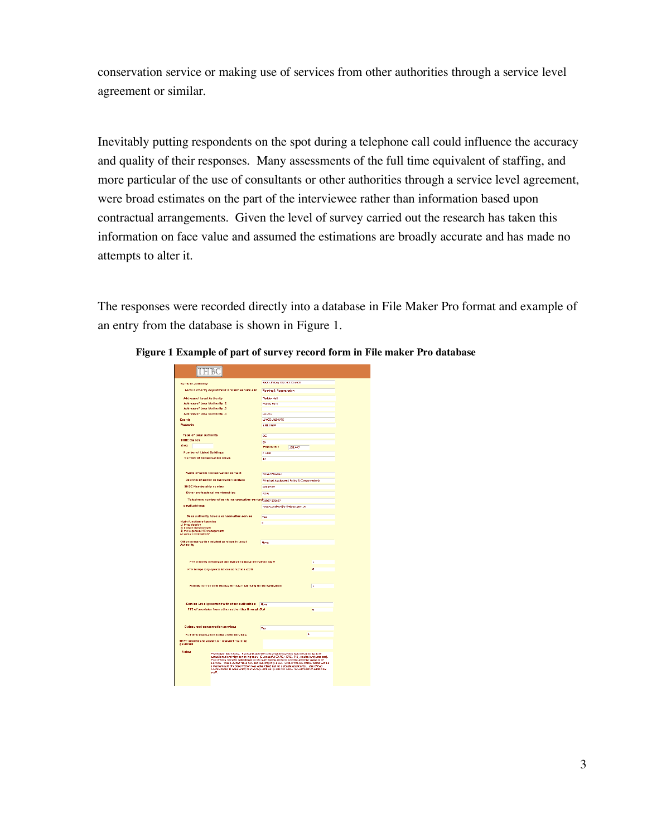conservation service or making use of services from other authorities through a service level agreement or similar.

Inevitably putting respondents on the spot during a telephone call could influence the accuracy and quality of their responses. Many assessments of the full time equivalent of staffing, and more particular of the use of consultants or other authorities through a service level agreement, were broad estimates on the part of the interviewee rather than information based upon contractual arrangements. Given the level of survey carried out the research has taken this information on face value and assumed the estimations are broadly accurate and has made no attempts to alter it.

The responses were recorded directly into a database in File Maker Pro format and example of an entry from the database is shown in Figure 1.

| <b>Name of authority</b>                                                                                                                                                                                                                                                                                                                                                                                                                                                                                                                 | Race Lindcow Diservice Council                                                 |         |          |
|------------------------------------------------------------------------------------------------------------------------------------------------------------------------------------------------------------------------------------------------------------------------------------------------------------------------------------------------------------------------------------------------------------------------------------------------------------------------------------------------------------------------------------------|--------------------------------------------------------------------------------|---------|----------|
| Local authority department in which service sits                                                                                                                                                                                                                                                                                                                                                                                                                                                                                         | Planning 8. Regeneracion                                                       |         |          |
| Address of Local Authority                                                                                                                                                                                                                                                                                                                                                                                                                                                                                                               | Tedder Hall                                                                    |         |          |
| <b>Address of Local Authority 2</b>                                                                                                                                                                                                                                                                                                                                                                                                                                                                                                      | <b>Hangy Rark</b>                                                              |         |          |
| Address of Local Authority 3                                                                                                                                                                                                                                                                                                                                                                                                                                                                                                             |                                                                                |         |          |
| Address of Local Authority A                                                                                                                                                                                                                                                                                                                                                                                                                                                                                                             | <b>LOUTH</b>                                                                   |         |          |
| County                                                                                                                                                                                                                                                                                                                                                                                                                                                                                                                                   | LINCOLNSHIRE                                                                   |         |          |
| <b>Pectrade</b>                                                                                                                                                                                                                                                                                                                                                                                                                                                                                                                          | <b>LAILEUP</b>                                                                 |         |          |
|                                                                                                                                                                                                                                                                                                                                                                                                                                                                                                                                          |                                                                                |         |          |
| <b>Type of Local Authority</b>                                                                                                                                                                                                                                                                                                                                                                                                                                                                                                           | m                                                                              |         |          |
| <b>THRC Right</b>                                                                                                                                                                                                                                                                                                                                                                                                                                                                                                                        | FИ                                                                             |         |          |
| Area                                                                                                                                                                                                                                                                                                                                                                                                                                                                                                                                     | Population                                                                     | 131.447 |          |
| <b>Number of Listed Buildings</b>                                                                                                                                                                                                                                                                                                                                                                                                                                                                                                        | c1400                                                                          |         |          |
| <b>Number of Conservation Areas</b>                                                                                                                                                                                                                                                                                                                                                                                                                                                                                                      | 17                                                                             |         |          |
| Name of senior conservation contact<br>Job title of senior conservation contact<br><b>JHBC Membership number</b>                                                                                                                                                                                                                                                                                                                                                                                                                         | Rosert Walker<br>Principal Assistant (Policy & Conservation)<br><b>G7SSHEH</b> |         |          |
| Other prefeccional memberching                                                                                                                                                                                                                                                                                                                                                                                                                                                                                                           | <b>RTPI</b>                                                                    |         |          |
| Telephone number of senior conservation contact <sub>01907</sub> 329497                                                                                                                                                                                                                                                                                                                                                                                                                                                                  |                                                                                |         |          |
| e mail address                                                                                                                                                                                                                                                                                                                                                                                                                                                                                                                           |                                                                                |         |          |
|                                                                                                                                                                                                                                                                                                                                                                                                                                                                                                                                          | rosert.walker@e-lindser.gov.uk                                                 |         |          |
| Does authority have a conservation service                                                                                                                                                                                                                                                                                                                                                                                                                                                                                               | Yes                                                                            |         |          |
| Main function of service<br>13 Investigacion<br>2) arofact develoament<br>3) more general HE management<br>45 some complitation?                                                                                                                                                                                                                                                                                                                                                                                                         | å                                                                              |         |          |
| Other conservation related services in Local                                                                                                                                                                                                                                                                                                                                                                                                                                                                                             | <b>Blond</b>                                                                   |         |          |
| Authority                                                                                                                                                                                                                                                                                                                                                                                                                                                                                                                                |                                                                                |         |          |
| FTE directly employed permanent specialist trained staff                                                                                                                                                                                                                                                                                                                                                                                                                                                                                 |                                                                                |         | ı        |
| a<br>FTE temperary specialist conservation staff                                                                                                                                                                                                                                                                                                                                                                                                                                                                                         |                                                                                |         |          |
| Number of full time equivalent staff working on conservation                                                                                                                                                                                                                                                                                                                                                                                                                                                                             |                                                                                |         | <b>I</b> |
| Service Level greement with other authorities None                                                                                                                                                                                                                                                                                                                                                                                                                                                                                       |                                                                                |         |          |
| FTF of providen from other authorities through SLA                                                                                                                                                                                                                                                                                                                                                                                                                                                                                       |                                                                                |         | 'n       |
|                                                                                                                                                                                                                                                                                                                                                                                                                                                                                                                                          |                                                                                |         |          |
| Outcoursed concervation cervices                                                                                                                                                                                                                                                                                                                                                                                                                                                                                                         | Yes                                                                            |         |          |
| Full time equivalent outsourced services                                                                                                                                                                                                                                                                                                                                                                                                                                                                                                 |                                                                                | n       |          |
| <b>IHBC priorities to assist LA: research training</b><br>guidance                                                                                                                                                                                                                                                                                                                                                                                                                                                                       |                                                                                |         |          |
| <b>Nates</b><br>Previously had 3 CDs. Reorganisation of conservation service lead to selltting us of<br>estealismed and man at nieving ceans (5 accessful CAPs, HERS, THJ, capital archetes acc.).<br>Two of CDs were to redsaby ed to DC leaving one above to archite all others as sec.).<br>service. These 2 staff nave now left leaving<br>small amount of conservation was advertised out no sultable applitums. Use of two<br>counsultants is assarently territorary until early 2007 to allow recruitment of additional<br>staff. |                                                                                |         |          |
|                                                                                                                                                                                                                                                                                                                                                                                                                                                                                                                                          |                                                                                |         |          |

**Figure 1 Example of part of survey record form in File maker Pro database**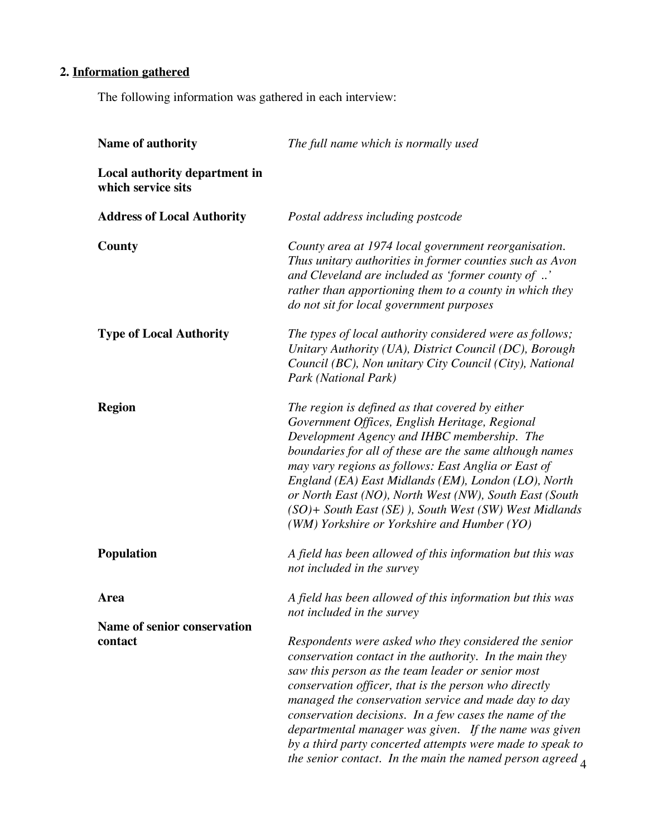# **2. Information gathered**

The following information was gathered in each interview:

| Name of authority                                   | The full name which is normally used                                                                                                                                                                                                                                                                                                                                                                                                                                                                                                            |
|-----------------------------------------------------|-------------------------------------------------------------------------------------------------------------------------------------------------------------------------------------------------------------------------------------------------------------------------------------------------------------------------------------------------------------------------------------------------------------------------------------------------------------------------------------------------------------------------------------------------|
| Local authority department in<br>which service sits |                                                                                                                                                                                                                                                                                                                                                                                                                                                                                                                                                 |
| <b>Address of Local Authority</b>                   | Postal address including postcode                                                                                                                                                                                                                                                                                                                                                                                                                                                                                                               |
| <b>County</b>                                       | County area at 1974 local government reorganisation.<br>Thus unitary authorities in former counties such as Avon<br>and Cleveland are included as 'former county of '<br>rather than apportioning them to a county in which they<br>do not sit for local government purposes                                                                                                                                                                                                                                                                    |
| <b>Type of Local Authority</b>                      | The types of local authority considered were as follows;<br>Unitary Authority (UA), District Council (DC), Borough<br>Council (BC), Non unitary City Council (City), National<br>Park (National Park)                                                                                                                                                                                                                                                                                                                                           |
| <b>Region</b>                                       | The region is defined as that covered by either<br>Government Offices, English Heritage, Regional<br>Development Agency and IHBC membership. The<br>boundaries for all of these are the same although names<br>may vary regions as follows: East Anglia or East of<br>England (EA) East Midlands (EM), London (LO), North<br>or North East (NO), North West (NW), South East (South<br>$(SO)$ + South East $(SE)$ ), South West (SW) West Midlands<br>(WM) Yorkshire or Yorkshire and Humber (YO)                                               |
| <b>Population</b>                                   | A field has been allowed of this information but this was<br>not included in the survey                                                                                                                                                                                                                                                                                                                                                                                                                                                         |
| <b>Area</b>                                         | A field has been allowed of this information but this was<br>not included in the survey                                                                                                                                                                                                                                                                                                                                                                                                                                                         |
| <b>Name of senior conservation</b><br>contact       | Respondents were asked who they considered the senior<br>conservation contact in the authority. In the main they<br>saw this person as the team leader or senior most<br>conservation officer, that is the person who directly<br>managed the conservation service and made day to day<br>conservation decisions. In a few cases the name of the<br>departmental manager was given. If the name was given<br>by a third party concerted attempts were made to speak to<br>the senior contact. In the main the named person agreed $\mathcal{A}$ |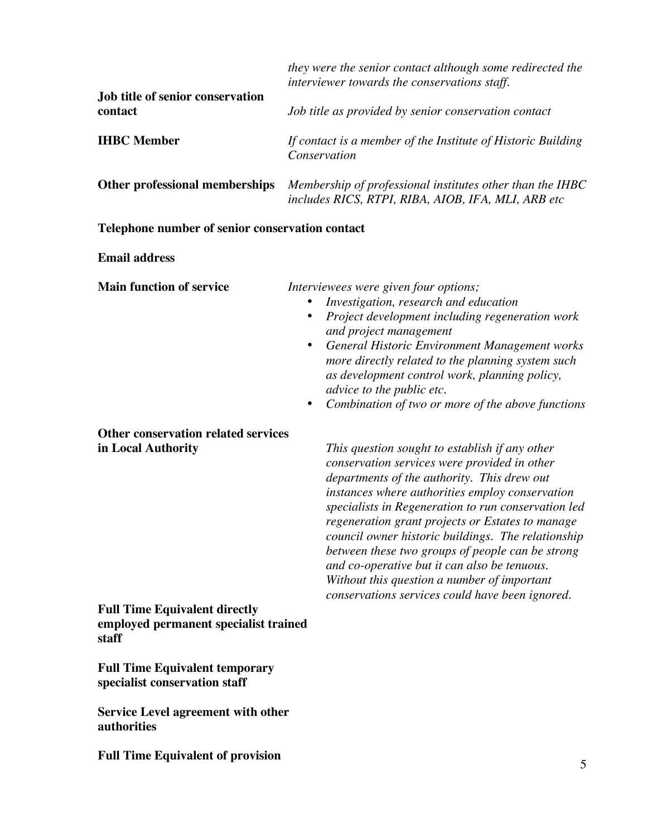|                                                                                        | they were the senior contact although some redirected the<br>interviewer towards the conservations staff.<br>Job title as provided by senior conservation contact                                                                                                                                                                                                                                                                                                                                                    |  |  |
|----------------------------------------------------------------------------------------|----------------------------------------------------------------------------------------------------------------------------------------------------------------------------------------------------------------------------------------------------------------------------------------------------------------------------------------------------------------------------------------------------------------------------------------------------------------------------------------------------------------------|--|--|
| Job title of senior conservation<br>contact                                            |                                                                                                                                                                                                                                                                                                                                                                                                                                                                                                                      |  |  |
| <b>IHBC</b> Member                                                                     | If contact is a member of the Institute of Historic Building<br>Conservation                                                                                                                                                                                                                                                                                                                                                                                                                                         |  |  |
| Other professional memberships                                                         | Membership of professional institutes other than the IHBC<br>includes RICS, RTPI, RIBA, AIOB, IFA, MLI, ARB etc                                                                                                                                                                                                                                                                                                                                                                                                      |  |  |
| Telephone number of senior conservation contact                                        |                                                                                                                                                                                                                                                                                                                                                                                                                                                                                                                      |  |  |
| <b>Email address</b>                                                                   |                                                                                                                                                                                                                                                                                                                                                                                                                                                                                                                      |  |  |
| <b>Main function of service</b>                                                        | Interviewees were given four options;<br>Investigation, research and education<br>Project development including regeneration work<br>٠<br>and project management<br>General Historic Environment Management works<br>$\bullet$<br>more directly related to the planning system such<br>as development control work, planning policy,<br>advice to the public etc.<br>Combination of two or more of the above functions                                                                                               |  |  |
| Other conservation related services<br>in Local Authority                              | This question sought to establish if any other<br>conservation services were provided in other<br>departments of the authority. This drew out<br>instances where authorities employ conservation<br>specialists in Regeneration to run conservation led<br>regeneration grant projects or Estates to manage<br>council owner historic buildings. The relationship<br>between these two groups of people can be strong<br>and co-operative but it can also be tenuous.<br>Without this question a number of important |  |  |
| <b>Full Time Equivalent directly</b><br>employed permanent specialist trained<br>staff | conservations services could have been ignored.                                                                                                                                                                                                                                                                                                                                                                                                                                                                      |  |  |
| <b>Full Time Equivalent temporary</b><br>specialist conservation staff                 |                                                                                                                                                                                                                                                                                                                                                                                                                                                                                                                      |  |  |
| <b>Service Level agreement with other</b><br>authorities                               |                                                                                                                                                                                                                                                                                                                                                                                                                                                                                                                      |  |  |
| <b>Full Time Equivalent of provision</b>                                               |                                                                                                                                                                                                                                                                                                                                                                                                                                                                                                                      |  |  |

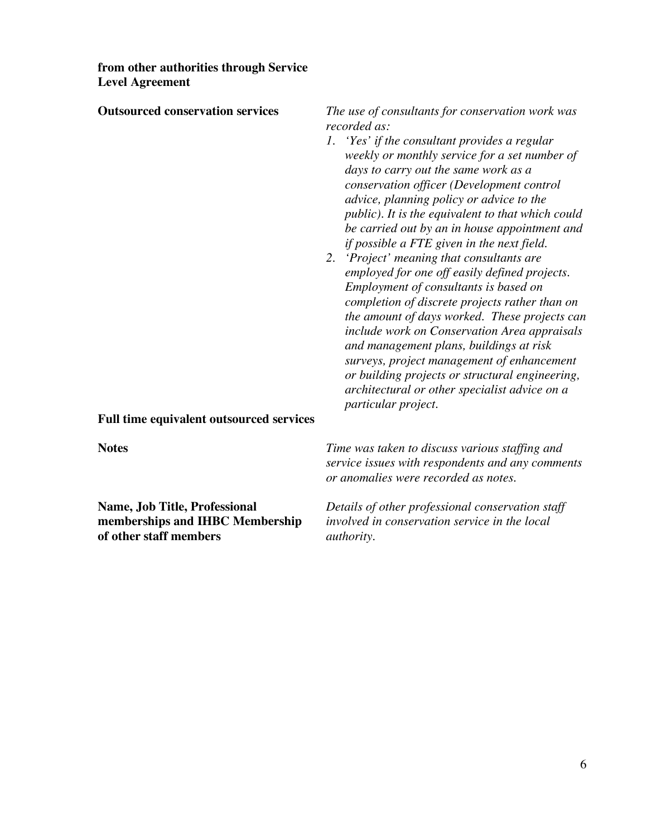**from other authorities through Service Level Agreement**

| <b>Outsourced conservation services</b>  | The use of consultants for conservation work was<br>recorded as:<br>1. 'Yes' if the consultant provides a regular<br>weekly or monthly service for a set number of<br>days to carry out the same work as a<br>conservation officer (Development control<br>advice, planning policy or advice to the<br>public). It is the equivalent to that which could<br>be carried out by an in house appointment and<br>if possible a FTE given in the next field.<br>2. 'Project' meaning that consultants are<br>employed for one off easily defined projects.<br>Employment of consultants is based on<br>completion of discrete projects rather than on<br>the amount of days worked. These projects can<br>include work on Conservation Area appraisals<br>and management plans, buildings at risk<br>surveys, project management of enhancement<br>or building projects or structural engineering,<br>architectural or other specialist advice on a<br>particular project. |  |
|------------------------------------------|-----------------------------------------------------------------------------------------------------------------------------------------------------------------------------------------------------------------------------------------------------------------------------------------------------------------------------------------------------------------------------------------------------------------------------------------------------------------------------------------------------------------------------------------------------------------------------------------------------------------------------------------------------------------------------------------------------------------------------------------------------------------------------------------------------------------------------------------------------------------------------------------------------------------------------------------------------------------------|--|
| Full time equivalent outsourced services |                                                                                                                                                                                                                                                                                                                                                                                                                                                                                                                                                                                                                                                                                                                                                                                                                                                                                                                                                                       |  |
| <b>Notes</b>                             | Time was taken to discuss various staffing and<br>service issues with respondents and any comments<br>or anomalies were recorded as notes.                                                                                                                                                                                                                                                                                                                                                                                                                                                                                                                                                                                                                                                                                                                                                                                                                            |  |
| Name Let Tille Duckerianal               | Details of other motions and concernation ot off                                                                                                                                                                                                                                                                                                                                                                                                                                                                                                                                                                                                                                                                                                                                                                                                                                                                                                                      |  |

**of** other staff members

**Name, Job Title, Professional** *Details of other professional conservation staff* involved in conservation service in the local authority.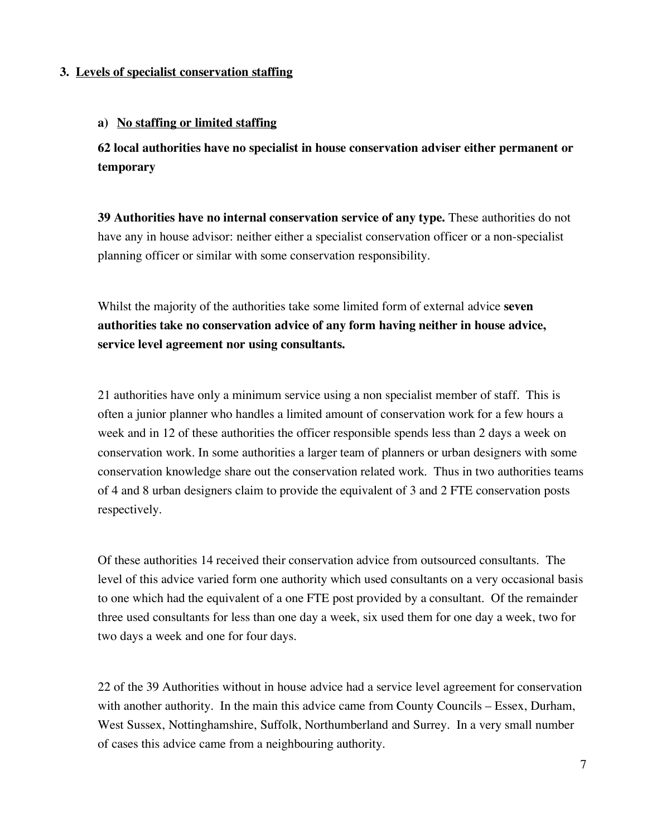# **3. Levels of specialist conservation staffing**

## **a) No staffing or limited staffing**

**62 local authorities have no specialist in house conservation adviser either permanent or temporary**

**39 Authorities have no internal conservation service of any type.** These authorities do not have any in house advisor: neither either a specialist conservation officer or a non-specialist planning officer or similar with some conservation responsibility.

Whilst the majority of the authorities take some limited form of external advice **seven authorities take no conservation advice of any form having neither in house advice, service level agreement nor using consultants.**

21 authorities have only a minimum service using a non specialist member of staff. This is often a junior planner who handles a limited amount of conservation work for a few hours a week and in 12 of these authorities the officer responsible spends less than 2 days a week on conservation work. In some authorities a larger team of planners or urban designers with some conservation knowledge share out the conservation related work. Thus in two authorities teams of 4 and 8 urban designers claim to provide the equivalent of 3 and 2 FTE conservation posts respectively.

Of these authorities 14 received their conservation advice from outsourced consultants. The level of this advice varied form one authority which used consultants on a very occasional basis to one which had the equivalent of a one FTE post provided by a consultant. Of the remainder three used consultants for less than one day a week, six used them for one day a week, two for two days a week and one for four days.

22 of the 39 Authorities without in house advice had a service level agreement for conservation with another authority. In the main this advice came from County Councils – Essex, Durham, West Sussex, Nottinghamshire, Suffolk, Northumberland and Surrey. In a very small number of cases this advice came from a neighbouring authority.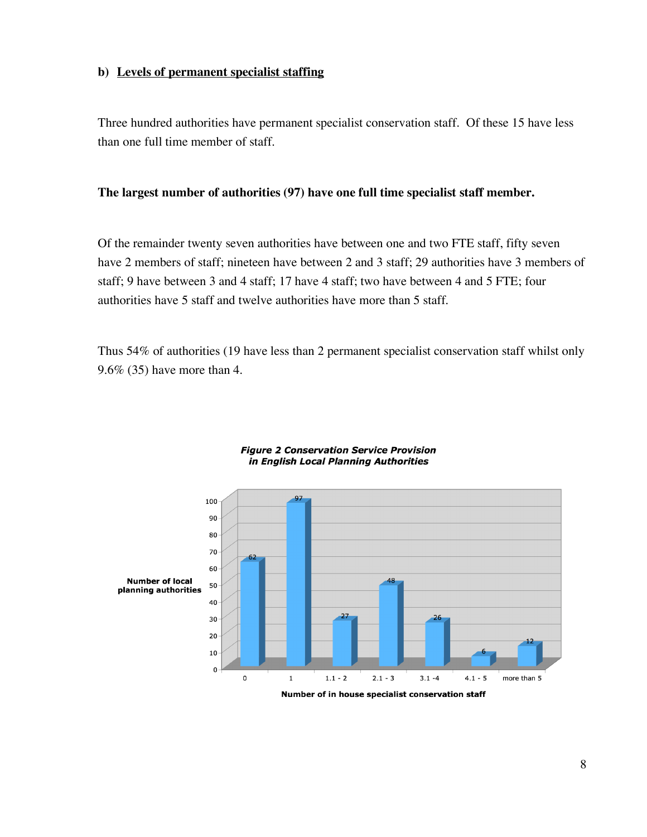# **b) Levels of permanent specialist staffing**

Three hundred authorities have permanent specialist conservation staff. Of these 15 have less than one full time member of staff.

# **The largest number of authorities (97) have one full time specialist staff member.**

Of the remainder twenty seven authorities have between one and two FTE staff, fifty seven have 2 members of staff; nineteen have between 2 and 3 staff; 29 authorities have 3 members of staff; 9 have between 3 and 4 staff; 17 have 4 staff; two have between 4 and 5 FTE; four authorities have 5 staff and twelve authorities have more than 5 staff.

Thus 54% of authorities (19 have less than 2 permanent specialist conservation staff whilst only 9.6% (35) have more than 4.



#### **Figure 2 Conservation Service Provision** in English Local Planning Authorities

Number of in house specialist conservation staff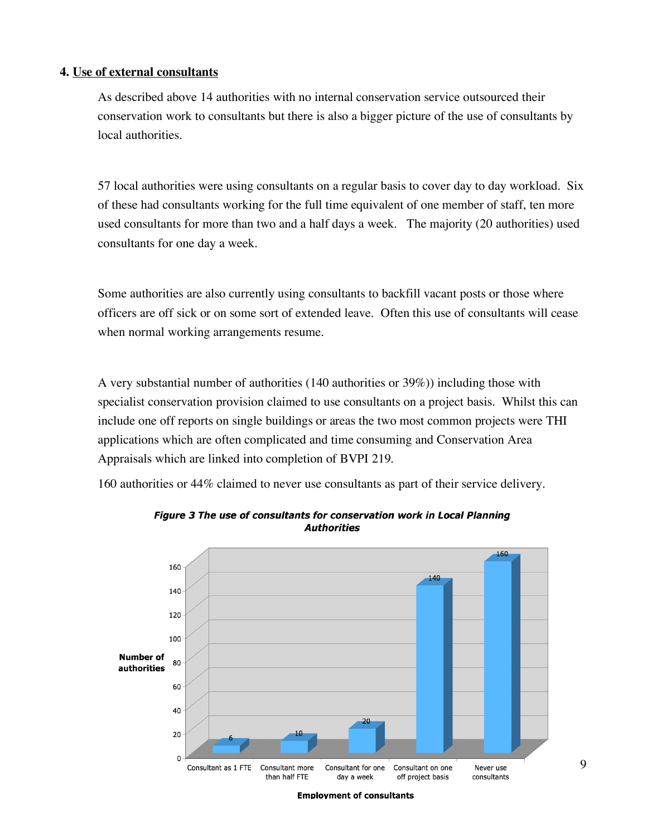# **4. Use of external consultants**

As described above 14 authorities with no internal conservation service outsourced their conservation work to consultants but there is also a bigger picture of the use of consultants by local authorities.

57 local authorities were using consultants on a regular basis to cover day to day workload. Six of these had consultants working for the full time equivalent of one member of staff, ten more used consultants for more than two and a half days a week. The majority (20 authorities) used consultants for one day a week.

Some authorities are also currently using consultants to backfill vacant posts or those where officers are off sick or on some sort of extended leave. Often this use of consultants will cease when normal working arrangements resume.

A very substantial number of authorities (140 authorities or 39%)) including those with specialist conservation provision claimed to use consultants on a project basis. Whilst this can include one off reports on single buildings or areas the two most common projects were THI applications which are often complicated and time consuming and Conservation Area Appraisals which are linked into completion of BVPI 219.

160 authorities or 44% claimed to never use consultants as part of their service delivery.



Figure 3 The use of consultants for conservation work in Local Planning **Authorities**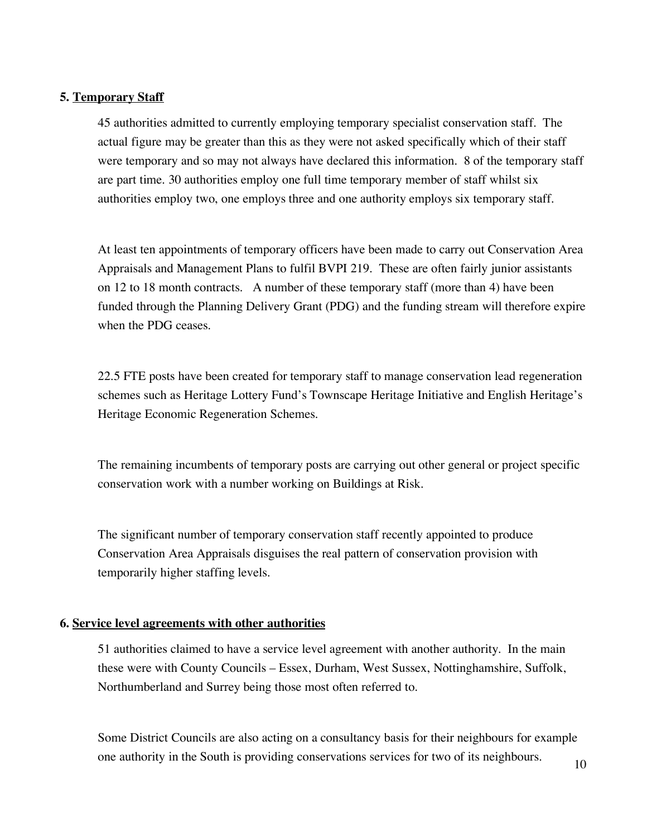## **5. Temporary Staff**

45 authorities admitted to currently employing temporary specialist conservation staff. The actual figure may be greater than this as they were not asked specifically which of their staff were temporary and so may not always have declared this information. 8 of the temporary staff are part time. 30 authorities employ one full time temporary member of staff whilst six authorities employ two, one employs three and one authority employs six temporary staff.

At least ten appointments of temporary officers have been made to carry out Conservation Area Appraisals and Management Plans to fulfil BVPI 219. These are often fairly junior assistants on 12 to 18 month contracts. A number of these temporary staff (more than 4) have been funded through the Planning Delivery Grant (PDG) and the funding stream will therefore expire when the PDG ceases.

22.5 FTE posts have been created for temporary staff to manage conservation lead regeneration schemes such as Heritage Lottery Fund's Townscape Heritage Initiative and English Heritage's Heritage Economic Regeneration Schemes.

The remaining incumbents of temporary posts are carrying out other general or project specific conservation work with a number working on Buildings at Risk.

The significant number of temporary conservation staff recently appointed to produce Conservation Area Appraisals disguises the real pattern of conservation provision with temporarily higher staffing levels.

### **6. Service level agreements with other authorities**

51 authorities claimed to have a service level agreement with another authority. In the main these were with County Councils – Essex, Durham, West Sussex, Nottinghamshire, Suffolk, Northumberland and Surrey being those most often referred to.

Some District Councils are also acting on a consultancy basis for their neighbours for example one authority in the South is providing conservations services for two of its neighbours.

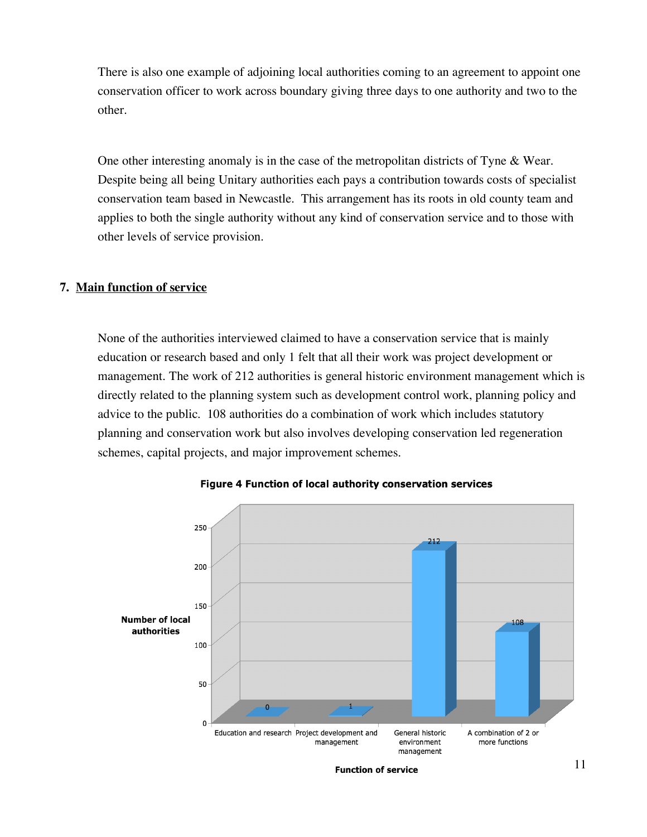There is also one example of adjoining local authorities coming to an agreement to appoint one conservation officer to work across boundary giving three days to one authority and two to the other.

One other interesting anomaly is in the case of the metropolitan districts of Tyne & Wear. Despite being all being Unitary authorities each pays a contribution towards costs of specialist conservation team based in Newcastle. This arrangement has its roots in old county team and applies to both the single authority without any kind of conservation service and to those with other levels of service provision.

# **7. Main function of service**

None of the authorities interviewed claimed to have a conservation service that is mainly education or research based and only 1 felt that all their work was project development or management. The work of 212 authorities is general historic environment management which is directly related to the planning system such as development control work, planning policy and advice to the public. 108 authorities do a combination of work which includes statutory planning and conservation work but also involves developing conservation led regeneration schemes, capital projects, and major improvement schemes.



Figure 4 Function of local authority conservation services

**Function of service**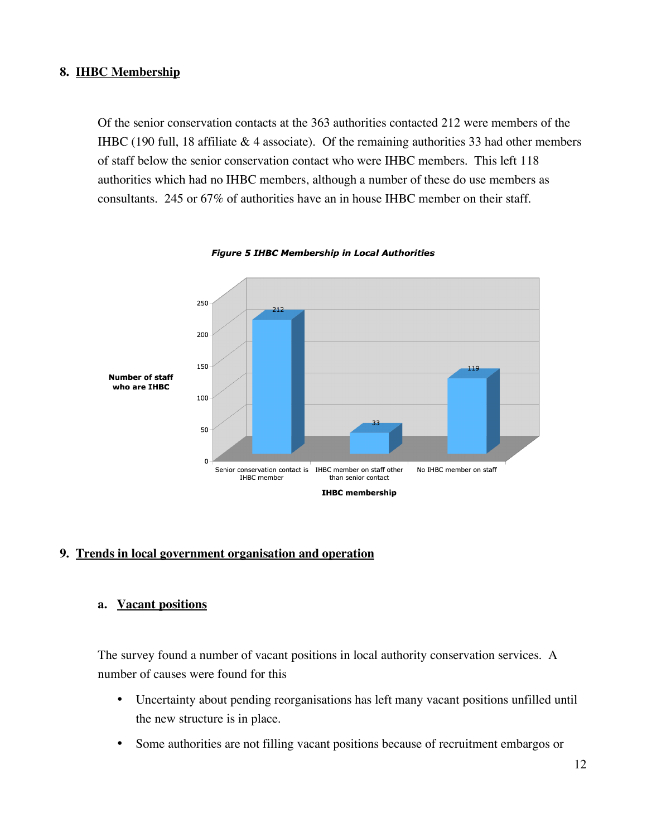# **8. IHBC Membership**

Of the senior conservation contacts at the 363 authorities contacted 212 were members of the IHBC (190 full, 18 affiliate & 4 associate). Of the remaining authorities 33 had other members of staff below the senior conservation contact who were IHBC members. This left 118 authorities which had no IHBC members, although a number of these do use members as consultants. 245 or 67% of authorities have an in house IHBC member on their staff.



#### **Figure 5 IHBC Membership in Local Authorities**

### **9. Trends in local government organisation and operation**

# **a. Vacant positions**

The survey found a number of vacant positions in local authority conservation services. A number of causes were found for this

- Uncertainty about pending reorganisations has left many vacant positions unfilled until the new structure is in place.
- Some authorities are not filling vacant positions because of recruitment embargos or

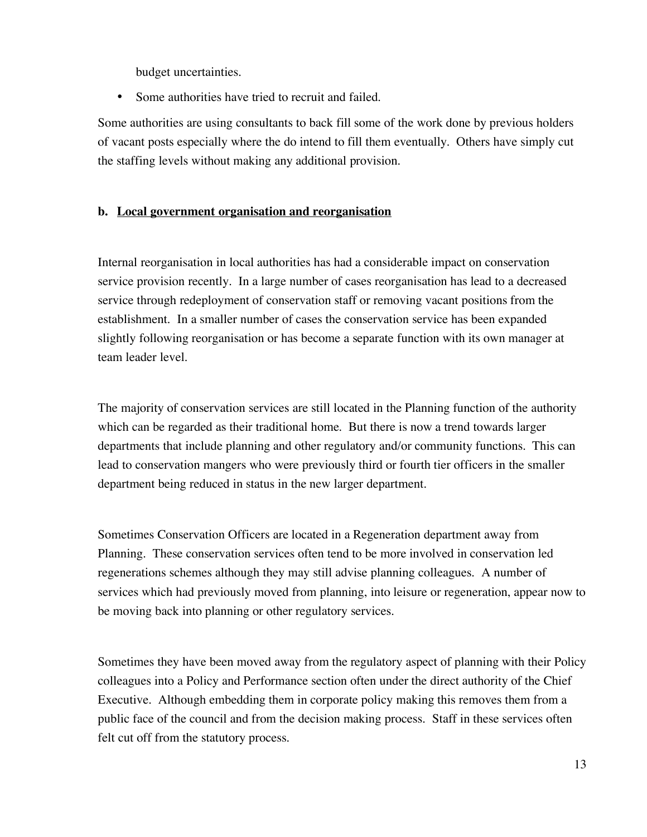budget uncertainties.

• Some authorities have tried to recruit and failed.

Some authorities are using consultants to back fill some of the work done by previous holders of vacant posts especially where the do intend to fill them eventually. Others have simply cut the staffing levels without making any additional provision.

# **b. Local government organisation and reorganisation**

Internal reorganisation in local authorities has had a considerable impact on conservation service provision recently. In a large number of cases reorganisation has lead to a decreased service through redeployment of conservation staff or removing vacant positions from the establishment. In a smaller number of cases the conservation service has been expanded slightly following reorganisation or has become a separate function with its own manager at team leader level.

The majority of conservation services are still located in the Planning function of the authority which can be regarded as their traditional home. But there is now a trend towards larger departments that include planning and other regulatory and/or community functions. This can lead to conservation mangers who were previously third or fourth tier officers in the smaller department being reduced in status in the new larger department.

Sometimes Conservation Officers are located in a Regeneration department away from Planning. These conservation services often tend to be more involved in conservation led regenerations schemes although they may still advise planning colleagues. A number of services which had previously moved from planning, into leisure or regeneration, appear now to be moving back into planning or other regulatory services.

Sometimes they have been moved away from the regulatory aspect of planning with their Policy colleagues into a Policy and Performance section often under the direct authority of the Chief Executive. Although embedding them in corporate policy making this removes them from a public face of the council and from the decision making process. Staff in these services often felt cut off from the statutory process.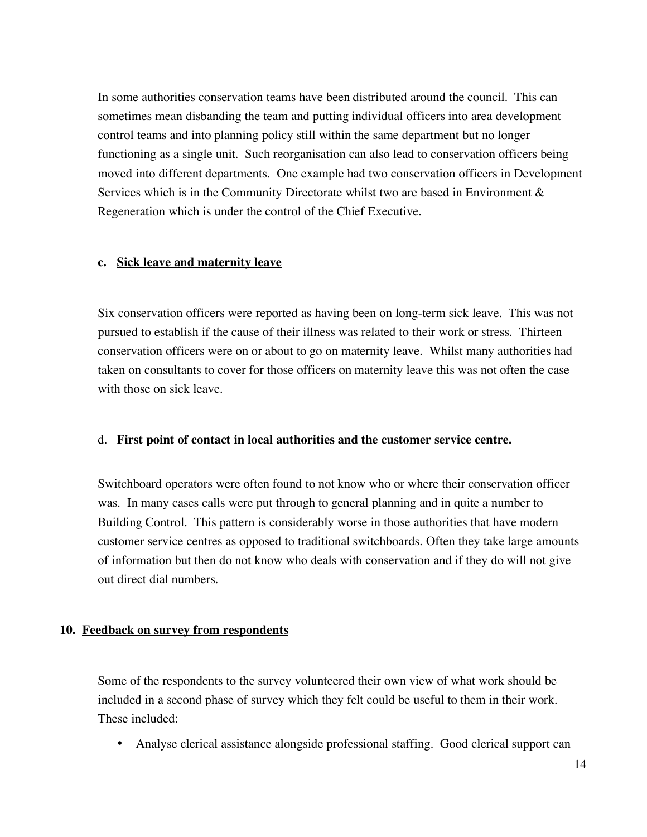In some authorities conservation teams have been distributed around the council. This can sometimes mean disbanding the team and putting individual officers into area development control teams and into planning policy still within the same department but no longer functioning as a single unit. Such reorganisation can also lead to conservation officers being moved into different departments. One example had two conservation officers in Development Services which is in the Community Directorate whilst two are based in Environment & Regeneration which is under the control of the Chief Executive.

### **c. Sick leave and maternity leave**

Six conservation officers were reported as having been on long-term sick leave. This was not pursued to establish if the cause of their illness was related to their work or stress. Thirteen conservation officers were on or about to go on maternity leave. Whilst many authorities had taken on consultants to cover for those officers on maternity leave this was not often the case with those on sick leave.

### d. **First point of contact in local authorities and the customer service centre.**

Switchboard operators were often found to not know who or where their conservation officer was. In many cases calls were put through to general planning and in quite a number to Building Control. This pattern is considerably worse in those authorities that have modern customer service centres as opposed to traditional switchboards. Often they take large amounts of information but then do not know who deals with conservation and if they do will not give out direct dial numbers.

### **10. Feedback on survey from respondents**

Some of the respondents to the survey volunteered their own view of what work should be included in a second phase of survey which they felt could be useful to them in their work. These included:

• Analyse clerical assistance alongside professional staffing. Good clerical support can

 $H$  $B$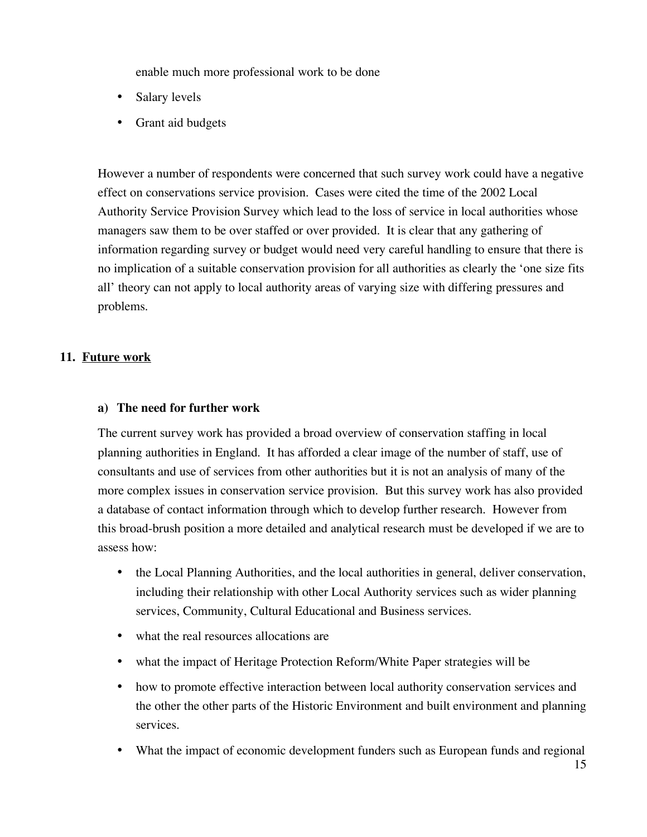enable much more professional work to be done

- Salary levels
- Grant aid budgets

However a number of respondents were concerned that such survey work could have a negative effect on conservations service provision. Cases were cited the time of the 2002 Local Authority Service Provision Survey which lead to the loss of service in local authorities whose managers saw them to be over staffed or over provided. It is clear that any gathering of information regarding survey or budget would need very careful handling to ensure that there is no implication of a suitable conservation provision for all authorities as clearly the 'one size fits all' theory can not apply to local authority areas of varying size with differing pressures and problems.

# **11. Future work**

I H B(

## **a) The need for further work**

The current survey work has provided a broad overview of conservation staffing in local planning authorities in England. It has afforded a clear image of the number of staff, use of consultants and use of services from other authorities but it is not an analysis of many of the more complex issues in conservation service provision. But this survey work has also provided a database of contact information through which to develop further research. However from this broad-brush position a more detailed and analytical research must be developed if we are to assess how:

- the Local Planning Authorities, and the local authorities in general, deliver conservation, including their relationship with other Local Authority services such as wider planning services, Community, Cultural Educational and Business services.
- what the real resources allocations are
- what the impact of Heritage Protection Reform/White Paper strategies will be
- how to promote effective interaction between local authority conservation services and the other the other parts of the Historic Environment and built environment and planning services.
- What the impact of economic development funders such as European funds and regional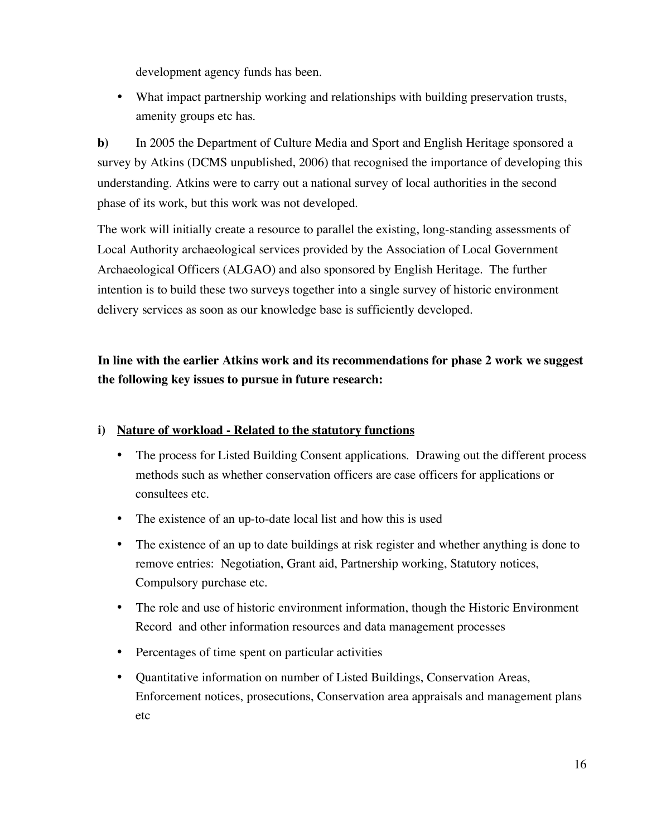development agency funds has been.

• What impact partnership working and relationships with building preservation trusts, amenity groups etc has.

**b)** In 2005 the Department of Culture Media and Sport and English Heritage sponsored a survey by Atkins (DCMS unpublished, 2006) that recognised the importance of developing this understanding. Atkins were to carry out a national survey of local authorities in the second phase of its work, but this work was not developed.

The work will initially create a resource to parallel the existing, long-standing assessments of Local Authority archaeological services provided by the Association of Local Government Archaeological Officers (ALGAO) and also sponsored by English Heritage. The further intention is to build these two surveys together into a single survey of historic environment delivery services as soon as our knowledge base is sufficiently developed.

# **In line with the earlier Atkins work and its recommendations for phase 2 work we suggest the following key issues to pursue in future research:**

# **i) Nature of workload - Related to the statutory functions**

- The process for Listed Building Consent applications. Drawing out the different process methods such as whether conservation officers are case officers for applications or consultees etc.
- The existence of an up-to-date local list and how this is used
- The existence of an up to date buildings at risk register and whether anything is done to remove entries: Negotiation, Grant aid, Partnership working, Statutory notices, Compulsory purchase etc.
- The role and use of historic environment information, though the Historic Environment Record and other information resources and data management processes
- Percentages of time spent on particular activities
- Quantitative information on number of Listed Buildings, Conservation Areas, Enforcement notices, prosecutions, Conservation area appraisals and management plans etc